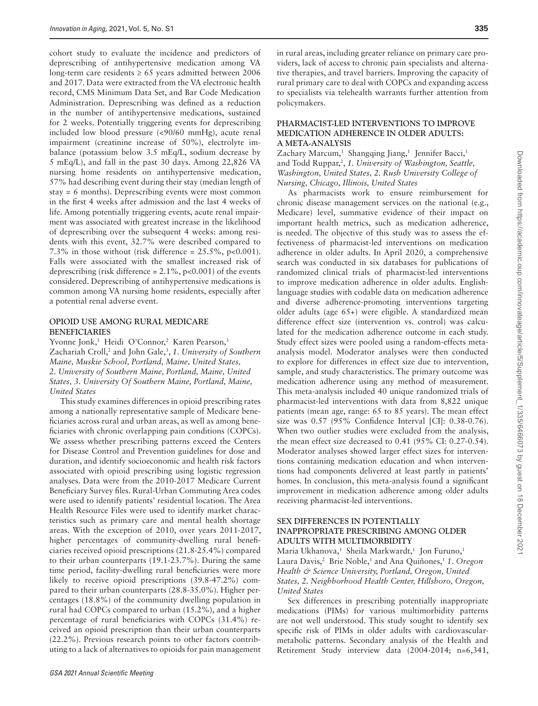cohort study to evaluate the incidence and predictors of deprescribing of antihypertensive medication among VA long-term care residents  $\geq 65$  years admitted between 2006 and 2017. Data were extracted from the VA electronic health record, CMS Minimum Data Set, and Bar Code Medication Administration. Deprescribing was defined as a reduction in the number of antihypertensive medications, sustained for 2 weeks. Potentially triggering events for deprescribing included low blood pressure (<90/60 mmHg), acute renal impairment (creatinine increase of 50%), electrolyte imbalance (potassium below 3.5 mEq/L, sodium decrease by 5 mEq/L), and fall in the past 30 days. Among 22,826 VA nursing home residents on antihypertensive medication, 57% had describing event during their stay (median length of stay = 6 months). Deprescribing events were most common in the first 4 weeks after admission and the last 4 weeks of life. Among potentially triggering events, acute renal impairment was associated with greatest increase in the likelihood of deprescribing over the subsequent 4 weeks: among residents with this event, 32.7% were described compared to 7.3% in those without (risk difference =  $25.5\%$ , p<0.001). Falls were associated with the smallest increased risk of deprescribing (risk difference =  $2.1\%$ , p<0.001) of the events considered. Deprescribing of antihypertensive medications is common among VA nursing home residents, especially after a potential renal adverse event.

#### **OPIOID USE AMONG RURAL MEDICARE BENEFICIARIES**

Yvonne Jonk,<sup>1</sup> Heidi O'Connor,<sup>2</sup> Karen Pearson,<sup>3</sup> Zachariah Croll,<sup>2</sup> and John Gale,<sup>3</sup>, 1. University of Southern *Maine, Muskie School, Portland, Maine, United States, 2. University of Southern Maine, Portland, Maine, United States, 3. University Of Southern Maine, Portland, Maine, United States*

This study examines differences in opioid prescribing rates among a nationally representative sample of Medicare beneficiaries across rural and urban areas, as well as among beneficiaries with chronic overlapping pain conditions (COPCs). We assess whether prescribing patterns exceed the Centers for Disease Control and Prevention guidelines for dose and duration, and identify socioeconomic and health risk factors associated with opioid prescribing using logistic regression analyses. Data were from the 2010-2017 Medicare Current Beneficiary Survey files. Rural-Urban Commuting Area codes were used to identify patients' residential location. The Area Health Resource Files were used to identify market characteristics such as primary care and mental health shortage areas. With the exception of 2010, over years 2011-2017, higher percentages of community-dwelling rural beneficiaries received opioid prescriptions (21.8-25.4%) compared to their urban counterparts (19.1-23.7%). During the same time period, facility-dwelling rural beneficiaries were more likely to receive opioid prescriptions (39.8-47.2%) compared to their urban counterparts (28.8-35.0%). Higher percentages (18.8%) of the community dwelling population in rural had COPCs compared to urban (15.2%), and a higher percentage of rural beneficiaries with COPCs (31.4%) received an opioid prescription than their urban counterparts (22.2%). Previous research points to other factors contributing to a lack of alternatives to opioids for pain management in rural areas, including greater reliance on primary care providers, lack of access to chronic pain specialists and alternative therapies, and travel barriers. Improving the capacity of rural primary care to deal with COPCs and expanding access to specialists via telehealth warrants further attention from policymakers.

#### **PHARMACIST-LED INTERVENTIONS TO IMPROVE MEDICATION ADHERENCE IN OLDER ADULTS: A META-ANALYSIS**

Zachary Marcum,<sup>1</sup> Shangqing Jiang,<sup>1</sup> Jennifer Bacci,<sup>1</sup> and Todd Ruppar, 2 , *1. University of Washington, Seattle, Washington, United States, 2. Rush University College of Nursing, Chicago, Illinois, United States*

As pharmacists work to ensure reimbursement for chronic disease management services on the national (e.g., Medicare) level, summative evidence of their impact on important health metrics, such as medication adherence, is needed. The objective of this study was to assess the effectiveness of pharmacist-led interventions on medication adherence in older adults. In April 2020, a comprehensive search was conducted in six databases for publications of randomized clinical trials of pharmacist-led interventions to improve medication adherence in older adults. Englishlanguage studies with codable data on medication adherence and diverse adherence-promoting interventions targeting older adults (age 65+) were eligible. A standardized mean difference effect size (intervention vs. control) was calculated for the medication adherence outcome in each study. Study effect sizes were pooled using a random-effects metaanalysis model. Moderator analyses were then conducted to explore for differences in effect size due to intervention, sample, and study characteristics. The primary outcome was medication adherence using any method of measurement. This meta-analysis included 40 unique randomized trials of pharmacist-led interventions with data from 8,822 unique patients (mean age, range: 65 to 85 years). The mean effect size was 0.57 (95% Confidence Interval [CI]: 0.38-0.76). When two outlier studies were excluded from the analysis, the mean effect size decreased to 0.41 (95% CI: 0.27-0.54). Moderator analyses showed larger effect sizes for interventions containing medication education and when interventions had components delivered at least partly in patients' homes. In conclusion, this meta-analysis found a significant improvement in medication adherence among older adults receiving pharmacist-led interventions.

## **SEX DIFFERENCES IN POTENTIALLY INAPPROPRIATE PRESCRIBING AMONG OLDER ADULTS WITH MULTIMORBIDITY**

Maria Ukhanova,<sup>1</sup> Sheila Markwardt,<sup>1</sup> Jon Furuno,<sup>1</sup> Laura Davis,<sup>2</sup> Brie Noble,<sup>1</sup> and Ana Quiñones,<sup>1</sup> 1. Oregon *Health & Science University, Portland, Oregon, United States, 2. Neighborhood Health Center, Hillsboro, Oregon, United States*

Sex differences in prescribing potentially inappropriate medications (PIMs) for various multimorbidity patterns are not well understood. This study sought to identify sex specific risk of PIMs in older adults with cardiovascularmetabolic patterns. Secondary analysis of the Health and Retirement Study interview data (2004-2014; n=6,341,